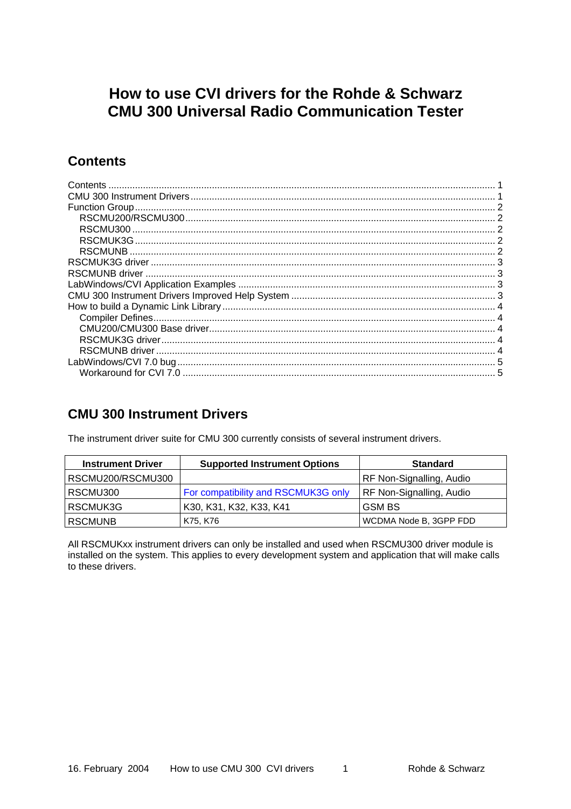# <span id="page-0-0"></span>How to use CVI drivers for the Rohde & Schwarz **CMU 300 Universal Radio Communication Tester**

## **Contents**

### **CMU 300 Instrument Drivers**

The instrument driver suite for CMU 300 currently consists of several instrument drivers.

| <b>Instrument Driver</b> | <b>Supported Instrument Options</b> | <b>Standard</b>                 |  |
|--------------------------|-------------------------------------|---------------------------------|--|
| RSCMU200/RSCMU300        |                                     | RF Non-Signalling, Audio        |  |
| RSCMU300                 | For compatibility and RSCMUK3G only | <b>RF Non-Signalling, Audio</b> |  |
| RSCMUK3G                 | K30, K31, K32, K33, K41             | <b>GSM BS</b>                   |  |
| <b>RSCMUNB</b>           | K75, K76                            | WCDMA Node B, 3GPP FDD          |  |

All RSCMUKxx instrument drivers can only be installed and used when RSCMU300 driver module is installed on the system. This applies to every development system and application that will make calls to these drivers.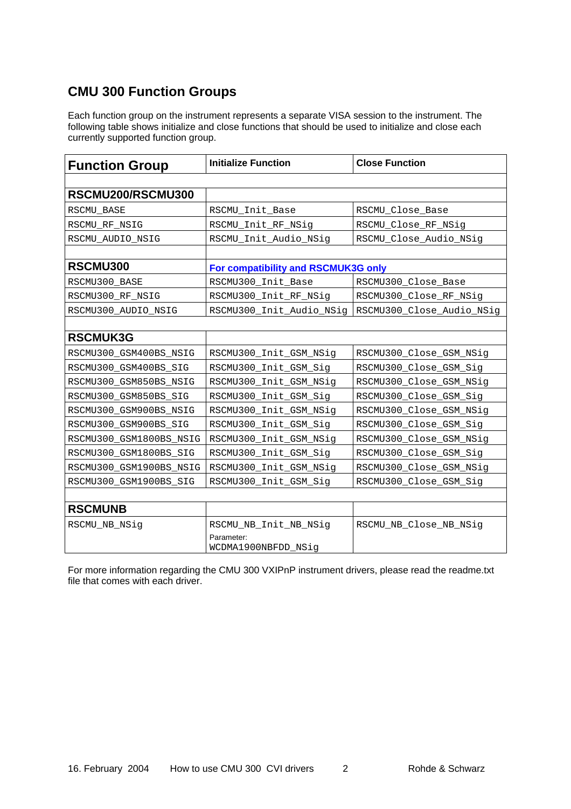## <span id="page-1-0"></span>**CMU 300 Function Groups**

Each function group on the instrument represents a separate VISA session to the instrument. The following table shows initialize and close functions that should be used to initialize and close each currently supported function group.

| <b>Function Group</b>   | <b>Initialize Function</b>          | <b>Close Function</b>     |  |
|-------------------------|-------------------------------------|---------------------------|--|
|                         |                                     |                           |  |
| RSCMU200/RSCMU300       |                                     |                           |  |
| RSCMU_BASE              | RSCMU_Init_Base                     | RSCMU_Close_Base          |  |
| RSCMU_RF_NSIG           | RSCMU_Init_RF_NSig                  | RSCMU_Close_RF_NSig       |  |
| RSCMU_AUDIO_NSIG        | RSCMU_Init_Audio_NSig               | RSCMU_Close_Audio_NSig    |  |
|                         |                                     |                           |  |
| RSCMU300                | For compatibility and RSCMUK3G only |                           |  |
| RSCMU300_BASE           | RSCMU300_Init_Base                  | RSCMU300_Close_Base       |  |
| RSCMU300_RF_NSIG        | RSCMU300_Init_RF_NSig               | RSCMU300_Close_RF_NSig    |  |
| RSCMU300_AUDIO_NSIG     | RSCMU300_Init_Audio_NSig            | RSCMU300_Close_Audio_NSig |  |
|                         |                                     |                           |  |
| <b>RSCMUK3G</b>         |                                     |                           |  |
| RSCMU300_GSM400BS_NSIG  | RSCMU300_Init_GSM_NSig              | RSCMU300_Close_GSM_NSig   |  |
| RSCMU300_GSM400BS_SIG   | RSCMU300_Init_GSM_Sig               | RSCMU300_Close_GSM_Sig    |  |
| RSCMU300_GSM850BS_NSIG  | RSCMU300_Init_GSM_NSig              | RSCMU300_Close_GSM_NSig   |  |
| RSCMU300_GSM850BS_SIG   | RSCMU300_Init_GSM_Sig               | RSCMU300_Close_GSM_Sig    |  |
| RSCMU300_GSM900BS_NSIG  | RSCMU300_Init_GSM_NSig              | RSCMU300_Close_GSM_NSig   |  |
| RSCMU300_GSM900BS_SIG   | RSCMU300_Init_GSM_Sig               | RSCMU300_Close_GSM_Sig    |  |
| RSCMU300_GSM1800BS_NSIG | RSCMU300_Init_GSM_NSig              | RSCMU300_Close_GSM_NSig   |  |
| RSCMU300_GSM1800BS_SIG  | RSCMU300_Init_GSM_Sig               | RSCMU300_Close_GSM_Sig    |  |
| RSCMU300_GSM1900BS_NSIG | RSCMU300_Init_GSM_NSig              | RSCMU300_Close_GSM_NSig   |  |
| RSCMU300_GSM1900BS_SIG  | RSCMU300_Init_GSM_Sig               | RSCMU300_Close_GSM_Sig    |  |
|                         |                                     |                           |  |
| <b>RSCMUNB</b>          |                                     |                           |  |
| RSCMU_NB_NSig           | RSCMU_NB_Init_NB_NSig               | RSCMU_NB_Close_NB_NSig    |  |
|                         | Parameter:<br>WCDMA1900NBFDD_NSig   |                           |  |

For more information regarding the CMU 300 VXIPnP instrument drivers, please read the readme.txt file that comes with each driver.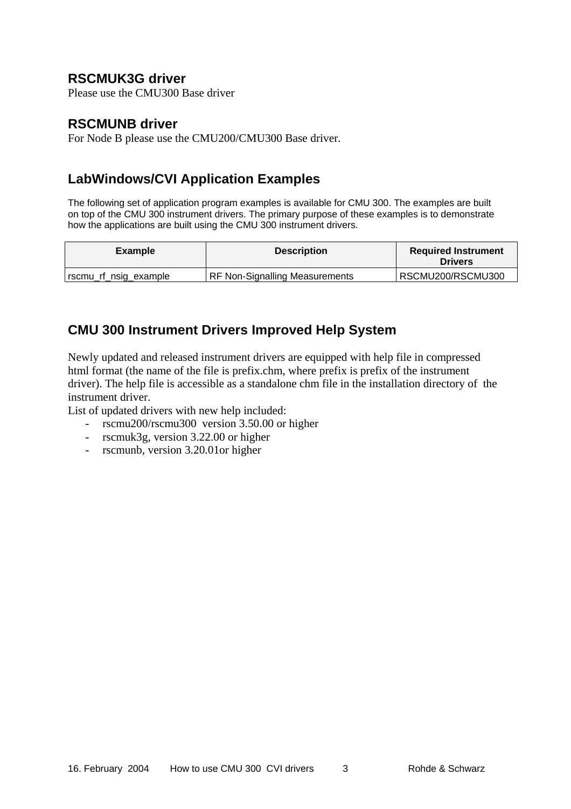## <span id="page-2-0"></span>**RSCMUK3G driver**

Please use the CMU300 Base driver

### **RSCMUNB driver**

For Node B please use the CMU200/CMU300 Base driver.

## **LabWindows/CVI Application Examples**

The following set of application program examples is available for CMU 300. The examples are built on top of the CMU 300 instrument drivers. The primary purpose of these examples is to demonstrate how the applications are built using the CMU 300 instrument drivers.

| <b>Example</b>          | <b>Description</b>                    | <b>Required Instrument</b><br><b>Drivers</b> |  |
|-------------------------|---------------------------------------|----------------------------------------------|--|
| I rscmu_rf_nsig_example | <b>RF Non-Signalling Measurements</b> | RSCMU200/RSCMU300                            |  |

## **CMU 300 Instrument Drivers Improved Help System**

Newly updated and released instrument drivers are equipped with help file in compressed html format (the name of the file is prefix.chm, where prefix is prefix of the instrument driver). The help file is accessible as a standalone chm file in the installation directory of the instrument driver.

List of updated drivers with new help included:

- rscmu200/rscmu300 version 3.50.00 or higher
- rscmuk3g, version 3.22.00 or higher
- rscmunb, version 3.20.01or higher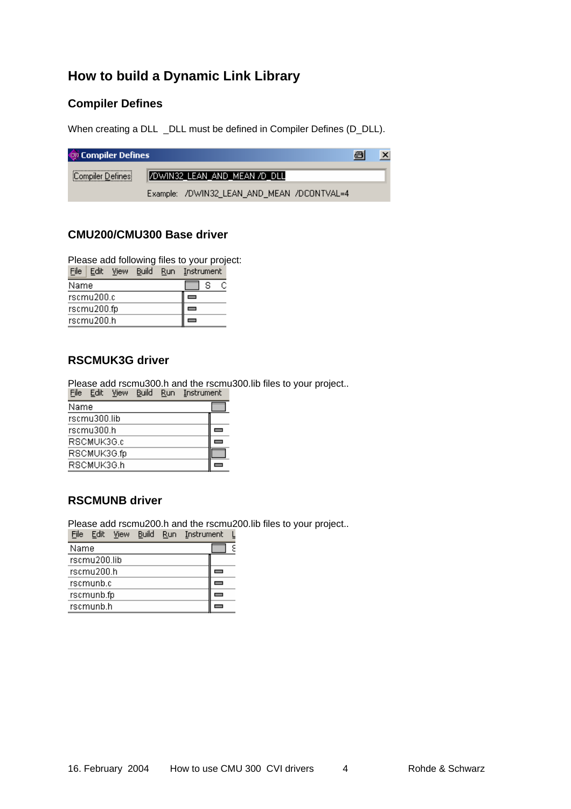## <span id="page-3-0"></span>**How to build a Dynamic Link Library**

### **Compiler Defines**

When creating a DLL \_DLL must be defined in Compiler Defines (D\_DLL).

| Compiler Defines |                                            | a | $\boldsymbol{\mathsf{x}}$ |
|------------------|--------------------------------------------|---|---------------------------|
| Compiler Defines | /DWIN32_LEAN_AND_MEAN /D_DLL               |   |                           |
|                  | Example: /DWIN32_LEAN_AND_MEAN /DCONTVAL=4 |   |                           |

#### **CMU200/CMU300 Base driver**

Please add following files to your project:

| File           | - Edit | View | Build Run |  | - Instrument |  |  |
|----------------|--------|------|-----------|--|--------------|--|--|
| s<br>Name<br>С |        |      |           |  |              |  |  |
| rscmu200.c     |        |      |           |  |              |  |  |
| rscmu200.fp    |        |      |           |  |              |  |  |
| rscmu200.h     |        |      |           |  |              |  |  |

#### **RSCMUK3G driver**

Please add rscmu300.h and the rscmu300.lib files to your project..

| <b>FIIE</b> | - cuit       | <b>VIEW</b> | <b>Dullu</b> | KUH. | <u>mportunient</u> |  |  |
|-------------|--------------|-------------|--------------|------|--------------------|--|--|
|             | Name         |             |              |      |                    |  |  |
|             | rscmu300.lib |             |              |      |                    |  |  |
| rscmu300.h  |              |             |              |      |                    |  |  |
| RSCMUK3G.c  |              |             |              |      |                    |  |  |
|             | RSCMUK3G.fp  |             |              |      |                    |  |  |
|             | RSCMUK3G.h   |             |              |      |                    |  |  |

### **RSCMUNB driver**

Please add rscmu200.h and the rscmu200.lib files to your project..

| File | Edit         | View | Build | Run | Instrument |  |  |
|------|--------------|------|-------|-----|------------|--|--|
| Name |              |      |       |     |            |  |  |
|      | rscmu200.lib |      |       |     |            |  |  |
|      | rscmu200.h   |      |       |     |            |  |  |
|      | rscmunb.c    |      |       |     |            |  |  |
|      | rscmunb.fp   |      |       |     |            |  |  |
|      | rscmunb.h    |      |       |     |            |  |  |
|      |              |      |       |     |            |  |  |